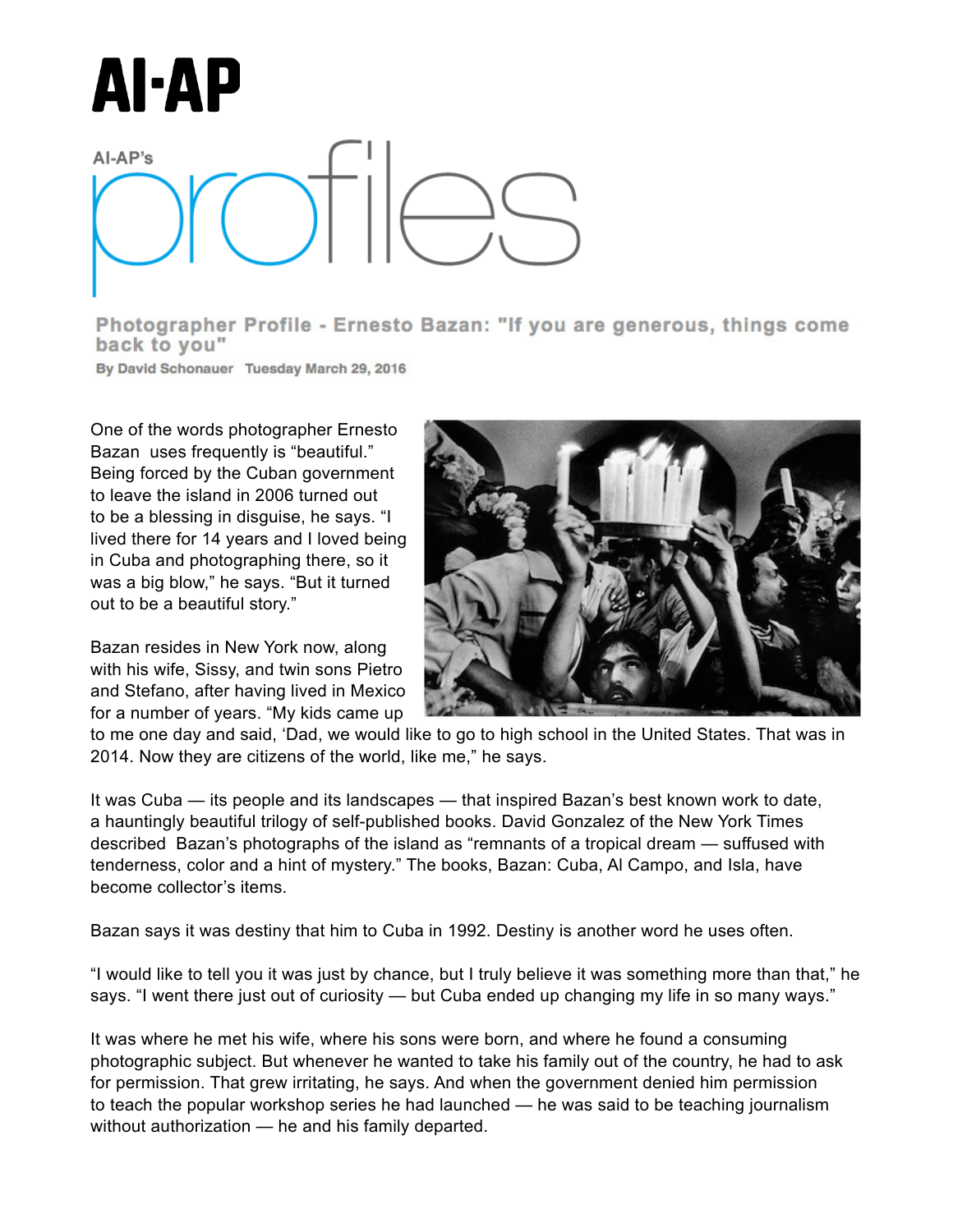

## $AI-AP's$

Photographer Profile - Ernesto Bazan: "If you are generous, things come back to you"

By David Schonauer Tuesday March 29, 2016

Being forced by the Cuban government to leave One of the words photographer Ernesto Bazan uses frequently is "beautiful."  $\frac{1}{2}$  is the cuba and photographing there, and photographing there, and photographing the set of  $\frac{1}{2}$ Being forced by the Cuban government to leave the island in 2006 turned out to be a blessing in disguise, he says. "I lived there for 14 years and I loved being  $\alpha$  Cube and photographing the  $\alpha$ in Cuba and photographing there, so it was a big blow," he says. "But it turned out to be a beautiful story."  $\sim$ out to be a beautiful story."

Bazan resides in New York now, along  $\frac{1}{2}$ with his wife, Sissy, and twin sons Pietro  $\qquad \blacksquare$ and Stefano, after having lived in Mexico  $r_{\rm max}$  remarks of a tropical dream  $\alpha$  that tenderness, colors  $\alpha$ for a number of years. "My kids came up **All Ca** 



Isla, a name of successing may came up.<br>Io me one day and said. 'Dad, we would like to go to high school in the United States. That was in 2014. Now they are citizens of the world, like me," he says. to me one day and said, 'Dad, we would like to go to high school in the United States. That was in

It was Cuba — its people and its landscapes — that inspired Bazan's best known work to date, a hauntingly beautiful trilogy of self-published books. David Gonzalez of the New York Times curiosity — but Cuba ended up changing my life in so many life in so many life in so many life in so many life in so many life in so many life in so many life in so many life in so many life in so many life in so many life described Bazan's photographs of the island as "remnants of a tropical dream — suffused with  $\blacksquare$ become collector's items. Eric Ogden: "I wasn't showing my personal tenderness, color and a hint of mystery." The books, Bazan: Cuba, Al Campo, and Isla, have

person cave it was destiny that bim to Cuba in 1002. Destiny is another word be Bazan says it was destiny that him to Cuba in 1992. Destiny is another word he uses often.

 $\mathbf{F}$   $\mathbf{F}$   $\mathbf{F}$ "I would like to tell you it was just by chance, but I truly believe it was something more than that," he says. "I went there just out of curiosity — but Cuba ended up changing my life in so many ways."

August 2015 photographic subject. But whenever he wanted to take his family out of the country, he had to ask for permission. That grew irritating, he says. And when the government denied him permission May 2015 to teach the popular workshop series he had launched — he was said to be teaching journalism It was where he met his wife, where his sons were born, and where he found a consuming without authorization — he and his family departed.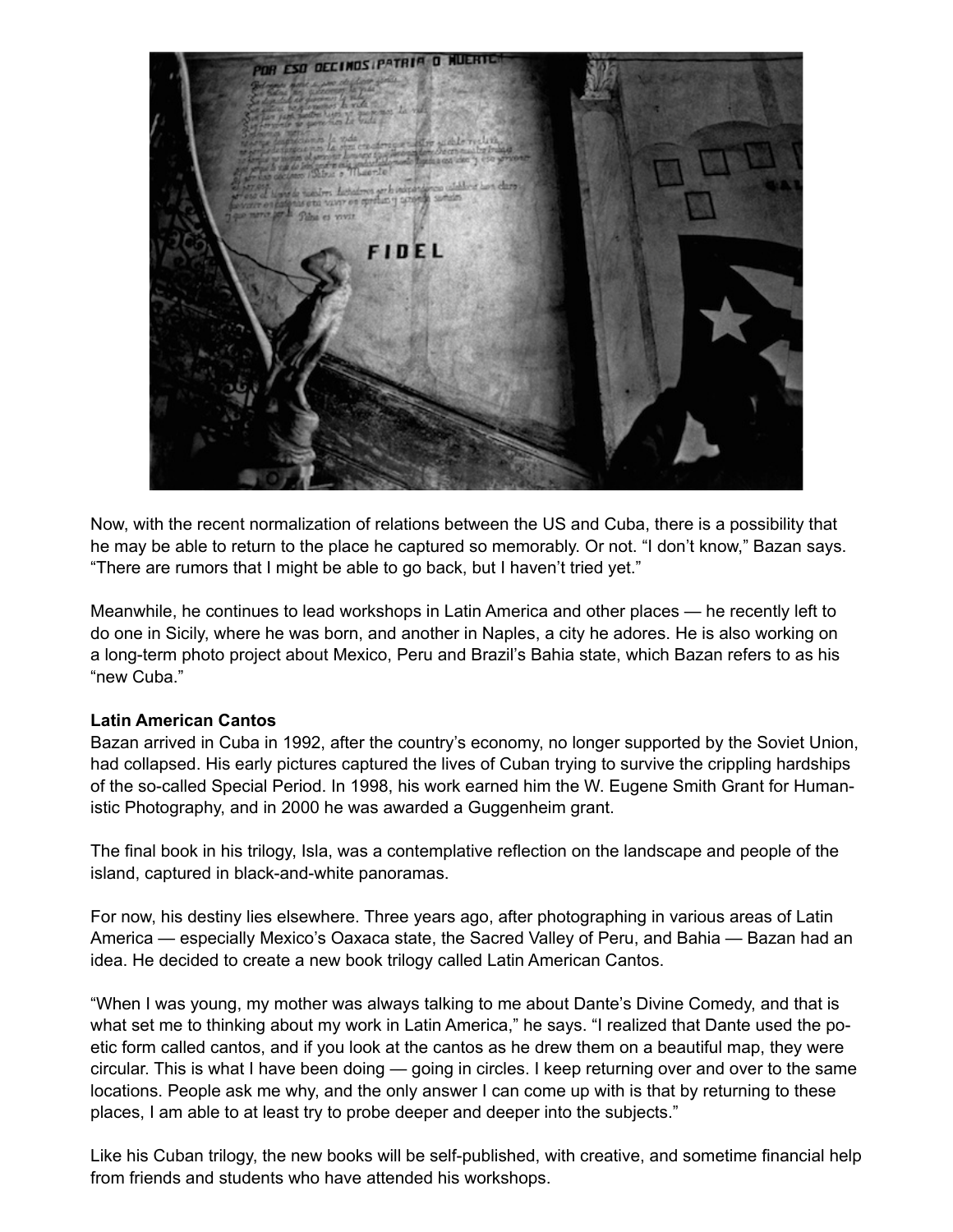

Now, with the recent normalization of relations between the US and Cuba, there is a possibility that he may be able to return to the place he captured so memorably. Or not. "I don't know," Bazan says. "There are rumors that I might be able to go back, but I haven't tried yet."

Meanwhile, he continues to lead workshops in Latin America and other places — he recently left to do one in Sicily, where he was born, and another in Naples, a city he adores. He is also working on a long-term photo project about Mexico, Peru and Brazil's Bahia state, which Bazan refers to as his "new Cuba."

## **Latin American Cantos**

Bazan arrived in Cuba in 1992, after the country's economy, no longer supported by the Soviet Union, had collapsed. His early pictures captured the lives of Cuban trying to survive the crippling hardships of the so-called Special Period. In 1998, his work earned him the W. Eugene Smith Grant for Humanistic Photography, and in 2000 he was awarded a Guggenheim grant.

The final book in his trilogy, Isla, was a contemplative reflection on the landscape and people of the island, captured in black-and-white panoramas.

For now, his destiny lies elsewhere. Three years ago, after photographing in various areas of Latin America — especially Mexico's Oaxaca state, the Sacred Valley of Peru, and Bahia — Bazan had an idea. He decided to create a new book trilogy called Latin American Cantos.

"When I was young, my mother was always talking to me about Dante's Divine Comedy, and that is what set me to thinking about my work in Latin America," he says. "I realized that Dante used the poetic form called cantos, and if you look at the cantos as he drew them on a beautiful map, they were circular. This is what I have been doing — going in circles. I keep returning over and over to the same locations. People ask me why, and the only answer I can come up with is that by returning to these places, I am able to at least try to probe deeper and deeper into the subjects."

Like his Cuban trilogy, the new books will be self-published, with creative, and sometime financial help from friends and students who have attended his workshops.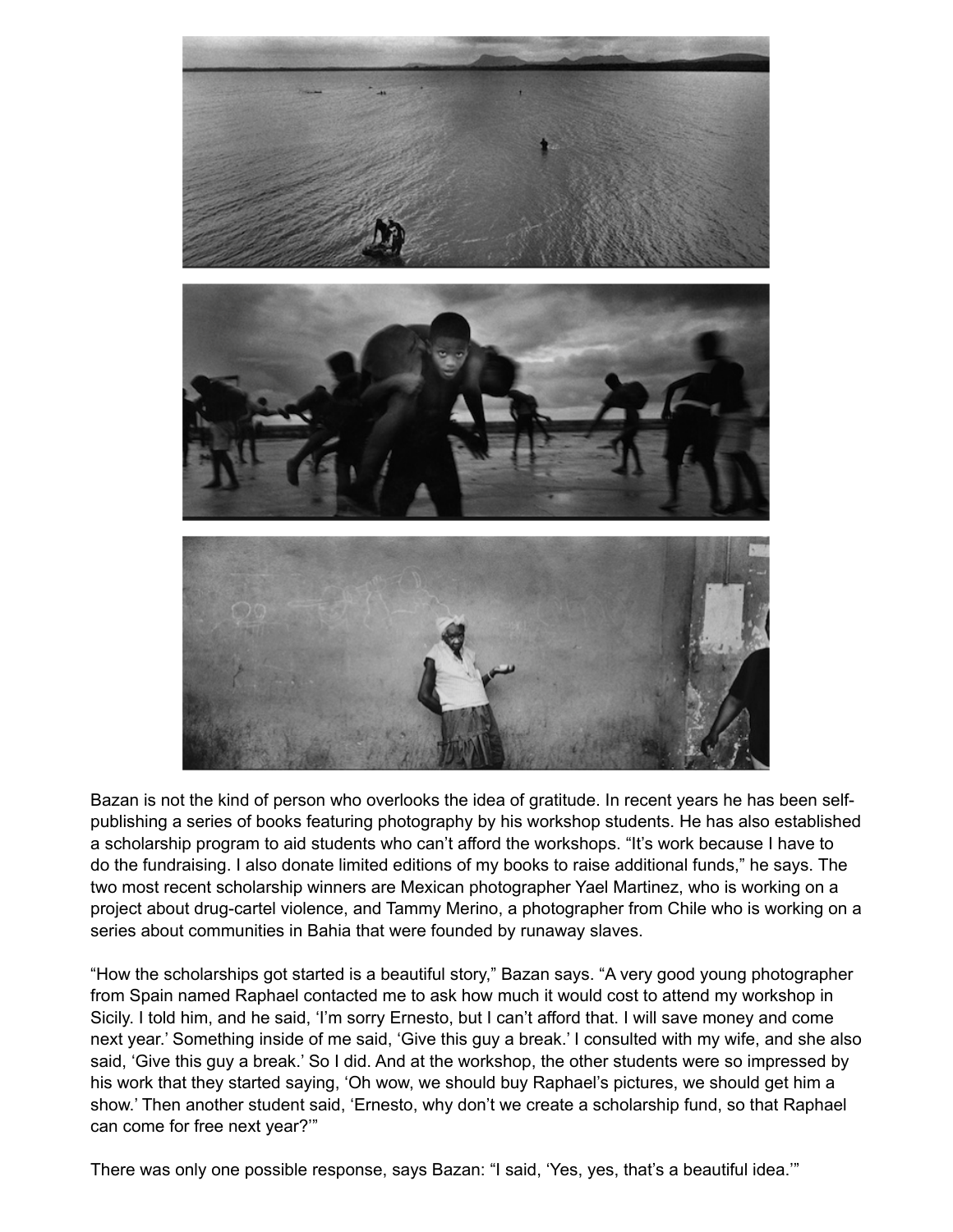

Bazan is not the kind of person who overlooks the idea of gratitude. In recent years he has been selfpublishing a series of books featuring photography by his workshop students. He has also established a scholarship program to aid students who can't afford the workshops. "It's work because I have to do the fundraising. I also donate limited editions of my books to raise additional funds," he says. The two most recent scholarship winners are Mexican photographer Yael Martinez, who is working on a project about drug-cartel violence, and Tammy Merino, a photographer from Chile who is working on a series about communities in Bahia that were founded by runaway slaves.

"How the scholarships got started is a beautiful story," Bazan says. "A very good young photographer from Spain named Raphael contacted me to ask how much it would cost to attend my workshop in Sicily. I told him, and he said, 'I'm sorry Ernesto, but I can't afford that. I will save money and come next year.' Something inside of me said, 'Give this guy a break.' I consulted with my wife, and she also said, 'Give this guy a break.' So I did. And at the workshop, the other students were so impressed by his work that they started saying, 'Oh wow, we should buy Raphael's pictures, we should get him a show.' Then another student said, 'Ernesto, why don't we create a scholarship fund, so that Raphael can come for free next year?'"

There was only one possible response, says Bazan: "I said, 'Yes, yes, that's a beautiful idea.'"